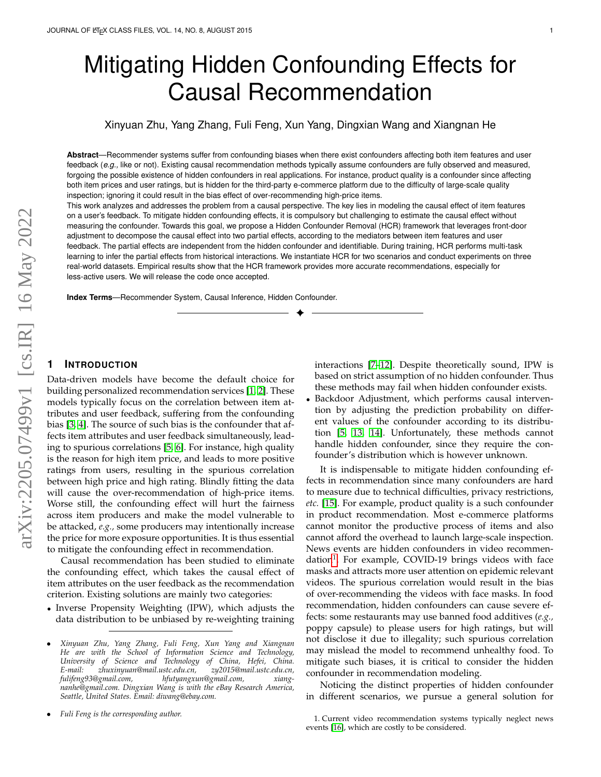# Mitigating Hidden Confounding Effects for Causal Recommendation

Xinyuan Zhu, Yang Zhang, Fuli Feng, Xun Yang, Dingxian Wang and Xiangnan He

**Abstract**—Recommender systems suffer from confounding biases when there exist confounders affecting both item features and user feedback (*e.g.,* like or not). Existing causal recommendation methods typically assume confounders are fully observed and measured, forgoing the possible existence of hidden confounders in real applications. For instance, product quality is a confounder since affecting both item prices and user ratings, but is hidden for the third-party e-commerce platform due to the difficulty of large-scale quality inspection; ignoring it could result in the bias effect of over-recommending high-price items.

This work analyzes and addresses the problem from a causal perspective. The key lies in modeling the causal effect of item features on a user's feedback. To mitigate hidden confounding effects, it is compulsory but challenging to estimate the causal effect without measuring the confounder. Towards this goal, we propose a Hidden Confounder Removal (HCR) framework that leverages front-door adjustment to decompose the causal effect into two partial effects, according to the mediators between item features and user feedback. The partial effects are independent from the hidden confounder and identifiable. During training, HCR performs multi-task learning to infer the partial effects from historical interactions. We instantiate HCR for two scenarios and conduct experiments on three real-world datasets. Empirical results show that the HCR framework provides more accurate recommendations, especially for less-active users. We will release the code once accepted.

✦

**Index Terms**—Recommender System, Causal Inference, Hidden Confounder.

# **1 INTRODUCTION**

Data-driven models have become the default choice for building personalized recommendation services [\[1,](#page-9-0) [2\]](#page-9-1). These models typically focus on the correlation between item attributes and user feedback, suffering from the confounding bias [\[3,](#page-9-2) [4\]](#page-9-3). The source of such bias is the confounder that affects item attributes and user feedback simultaneously, leading to spurious correlations [\[5,](#page-9-4) [6\]](#page-10-0). For instance, high quality is the reason for high item price, and leads to more positive ratings from users, resulting in the spurious correlation between high price and high rating. Blindly fitting the data will cause the over-recommendation of high-price items. Worse still, the confounding effect will hurt the fairness across item producers and make the model vulnerable to be attacked, *e.g.,* some producers may intentionally increase the price for more exposure opportunities. It is thus essential to mitigate the confounding effect in recommendation.

Causal recommendation has been studied to eliminate the confounding effect, which takes the causal effect of item attributes on the user feedback as the recommendation criterion. Existing solutions are mainly two categories:

• Inverse Propensity Weighting (IPW), which adjusts the data distribution to be unbiased by re-weighting training

• *Fuli Feng is the corresponding author.*

interactions [\[7](#page-10-1)[–12\]](#page-10-2). Despite theoretically sound, IPW is based on strict assumption of no hidden confounder. Thus these methods may fail when hidden confounder exists.

• Backdoor Adjustment, which performs causal intervention by adjusting the prediction probability on different values of the confounder according to its distribution [\[5,](#page-9-4) [13,](#page-10-3) [14\]](#page-10-4). Unfortunately, these methods cannot handle hidden confounder, since they require the confounder's distribution which is however unknown.

It is indispensable to mitigate hidden confounding effects in recommendation since many confounders are hard to measure due to technical difficulties, privacy restrictions, *etc.* [\[15\]](#page-10-5). For example, product quality is a such confounder in product recommendation. Most e-commerce platforms cannot monitor the productive process of items and also cannot afford the overhead to launch large-scale inspection. News events are hidden confounders in video recommen-dation<sup>[1](#page-0-0)</sup>. For example, COVID-19 brings videos with face masks and attracts more user attention on epidemic relevant videos. The spurious correlation would result in the bias of over-recommending the videos with face masks. In food recommendation, hidden confounders can cause severe effects: some restaurants may use banned food additives (*e.g.,* poppy capsule) to please users for high ratings, but will not disclose it due to illegality; such spurious correlation may mislead the model to recommend unhealthy food. To mitigate such biases, it is critical to consider the hidden confounder in recommendation modeling.

Noticing the distinct properties of hidden confounder in different scenarios, we pursue a general solution for

<sup>•</sup> *Xinyuan Zhu, Yang Zhang, Fuli Feng, Xun Yang and Xiangnan He are with the School of Information Science and Technology, University of Science and Technology of China, Hefei, China. E-mail: zhuxinyuan@mail.ustc.edu.cn, zy2015@mail.ustc.edu.cn, fulifeng93@gmail.com, hfutyangxun@gmail.com, xiangnanhe@gmail.com. Dingxian Wang is with the eBay Research America, Seattle, United States. Email: diwang@ebay.com.*

<span id="page-0-0"></span><sup>1.</sup> Current video recommendation systems typically neglect news events [\[16\]](#page-10-6), which are costly to be considered.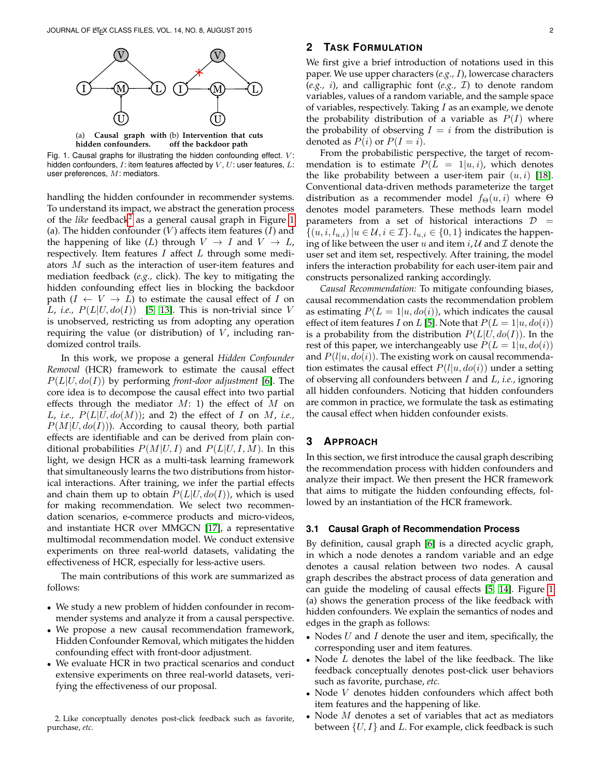

<span id="page-1-1"></span>

Fig. 1. Causal graphs for illustrating the hidden confounding effect.  $V$ : hidden confounders,  $I:$  item features affected by  $V, U:$  user features,  $L:$ user preferences, M: mediators.

handling the hidden confounder in recommender systems. To understand its impact, we abstract the generation process of the *like* feedback<sup>[2](#page-1-0)</sup> as a general causal graph in Figure [1](#page-1-1) (a). The hidden confounder  $(V)$  affects item features  $(I)$  and the happening of like (L) through  $V \rightarrow I$  and  $V \rightarrow L$ , respectively. Item features  $I$  affect  $L$  through some mediators M such as the interaction of user-item features and mediation feedback (*e.g.,* click). The key to mitigating the hidden confounding effect lies in blocking the backdoor path  $(I \leftarrow V \rightarrow L)$  to estimate the causal effect of I on L, *i.e.*,  $P(L|U, do(I))$  [\[5,](#page-9-4) [13\]](#page-10-3). This is non-trivial since V is unobserved, restricting us from adopting any operation requiring the value (or distribution) of  $V$ , including randomized control trails.

In this work, we propose a general *Hidden Confounder Removal* (HCR) framework to estimate the causal effect P(L|U, do(I)) by performing *front-door adjustment* [\[6\]](#page-10-0). The core idea is to decompose the causal effect into two partial effects through the mediator  $M: 1$ ) the effect of  $M$  on L, *i.e.*,  $P(L|U, do(M))$ ; and 2) the effect of I on M, *i.e.*,  $P(M|U, do(I))$ ). According to causal theory, both partial effects are identifiable and can be derived from plain conditional probabilities  $P(M|U, I)$  and  $P(L|U, I, M)$ . In this light, we design HCR as a multi-task learning framework that simultaneously learns the two distributions from historical interactions. After training, we infer the partial effects and chain them up to obtain  $P(L|U, do(I))$ , which is used for making recommendation. We select two recommendation scenarios, e-commerce products and micro-videos, and instantiate HCR over MMGCN [\[17\]](#page-10-7), a representative multimodal recommendation model. We conduct extensive experiments on three real-world datasets, validating the effectiveness of HCR, especially for less-active users.

The main contributions of this work are summarized as follows:

- We study a new problem of hidden confounder in recommender systems and analyze it from a causal perspective.
- We propose a new causal recommendation framework, Hidden Confounder Removal, which mitigates the hidden confounding effect with front-door adjustment.
- We evaluate HCR in two practical scenarios and conduct extensive experiments on three real-world datasets, verifying the effectiveness of our proposal.

<span id="page-1-0"></span>2. Like conceptually denotes post-click feedback such as favorite, purchase, *etc.*

# **2 TASK FORMULATION**

We first give a brief introduction of notations used in this paper. We use upper characters (*e.g.,* I), lowercase characters (*e.g.,* i), and calligraphic font (*e.g.,* I) to denote random variables, values of a random variable, and the sample space of variables, respectively. Taking  $I$  as an example, we denote the probability distribution of a variable as  $P(I)$  where the probability of observing  $I = i$  from the distribution is denoted as  $P(i)$  or  $P(I = i)$ .

From the probabilistic perspective, the target of recommendation is to estimate  $P(L = 1|u, i)$ , which denotes the like probability between a user-item pair  $(u, i)$  [\[18\]](#page-10-8). Conventional data-driven methods parameterize the target distribution as a recommender model  $f_{\Theta}(u, i)$  where  $\Theta$ denotes model parameters. These methods learn model parameters from a set of historical interactions  $D =$  $\{(u, i, l_{u,i})|u \in \mathcal{U}, i \in \mathcal{I}\}\right\}$ .  $l_{u,i} \in \{0,1\}$  indicates the happening of like between the user u and item  $i, U$  and  $\mathcal I$  denote the user set and item set, respectively. After training, the model infers the interaction probability for each user-item pair and constructs personalized ranking accordingly.

*Causal Recommendation:* To mitigate confounding biases, causal recommendation casts the recommendation problem as estimating  $P(L = 1|u, do(i))$ , which indicates the causal effect of item features I on L [\[5\]](#page-9-4). Note that  $P(L = 1|u, do(i))$ is a probability from the distribution  $P(L|U, do(I))$ . In the rest of this paper, we interchangeably use  $P(L = 1|u, do(i))$ and  $P(l|u, do(i))$ . The existing work on causal recommendation estimates the causal effect  $P(l|u, do(i))$  under a setting of observing all confounders between I and L, *i.e.,* ignoring all hidden confounders. Noticing that hidden confounders are common in practice, we formulate the task as estimating the causal effect when hidden confounder exists.

# **3 APPROACH**

In this section, we first introduce the causal graph describing the recommendation process with hidden confounders and analyze their impact. We then present the HCR framework that aims to mitigate the hidden confounding effects, followed by an instantiation of the HCR framework.

#### **3.1 Causal Graph of Recommendation Process**

By definition, causal graph [\[6\]](#page-10-0) is a directed acyclic graph, in which a node denotes a random variable and an edge denotes a causal relation between two nodes. A causal graph describes the abstract process of data generation and can guide the modeling of causal effects [\[5,](#page-9-4) [14\]](#page-10-4). Figure [1](#page-1-1) (a) shows the generation process of the like feedback with hidden confounders. We explain the semantics of nodes and edges in the graph as follows:

- Nodes  $U$  and  $I$  denote the user and item, specifically, the corresponding user and item features.
- Node  $L$  denotes the label of the like feedback. The like feedback conceptually denotes post-click user behaviors such as favorite, purchase, *etc.*
- Node V denotes hidden confounders which affect both item features and the happening of like.
- Node  $M$  denotes a set of variables that act as mediators between  $\{U, I\}$  and L. For example, click feedback is such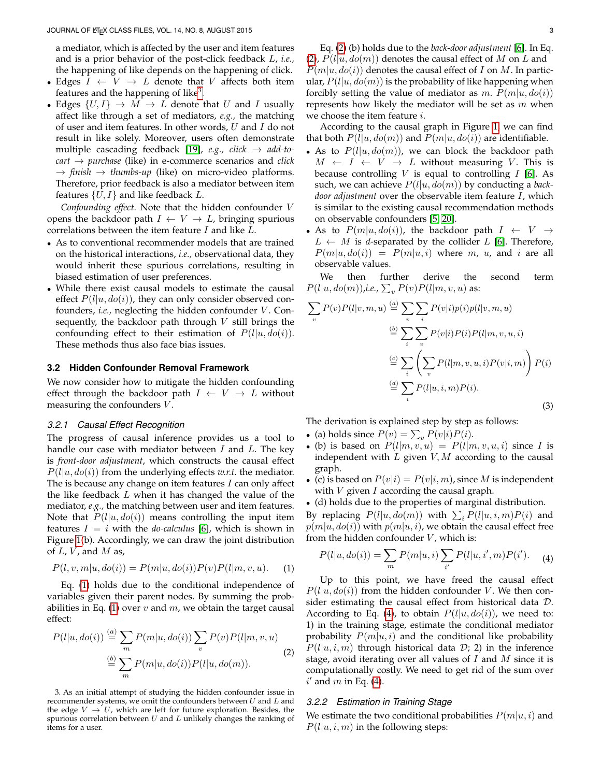a mediator, which is affected by the user and item features and is a prior behavior of the post-click feedback L, *i.e.,* the happening of like depends on the happening of click.

- Edges  $I \leftarrow V \rightarrow L$  denote that V affects both item features and the happening of like<sup>[3](#page-2-0)</sup>.
- Edges  $\{U, I\} \rightarrow M \rightarrow L$  denote that U and I usually affect like through a set of mediators, *e.g.,* the matching of user and item features. In other words,  $U$  and  $I$  do not result in like solely. Moreover, users often demonstrate multiple cascading feedback [\[19\]](#page-10-9), *e.g., click* → *add-tocart* → *purchase* (like) in e-commerce scenarios and *click*  $\rightarrow$  *finish*  $\rightarrow$  *thumbs-up* (like) on micro-video platforms. Therefore, prior feedback is also a mediator between item features  $\{U, I\}$  and like feedback L.

*Confounding effect.* Note that the hidden confounder V opens the backdoor path  $I \leftarrow V \rightarrow L$ , bringing spurious correlations between the item feature I and like L.

- As to conventional recommender models that are trained on the historical interactions, *i.e.,* observational data, they would inherit these spurious correlations, resulting in biased estimation of user preferences.
- While there exist causal models to estimate the causal effect  $P(l|u, do(i))$ , they can only consider observed confounders, *i.e.*, neglecting the hidden confounder V. Consequently, the backdoor path through  $V$  still brings the confounding effect to their estimation of  $P(l|u, do(i))$ . These methods thus also face bias issues.

#### **3.2 Hidden Confounder Removal Framework**

We now consider how to mitigate the hidden confounding effect through the backdoor path  $I \leftarrow V \rightarrow L$  without measuring the confounders  $V$ .

# *3.2.1 Causal Effect Recognition*

The progress of causal inference provides us a tool to handle our case with mediator between  $I$  and  $L$ . The key is *front-door adjustment*, which constructs the causal effect  $P(l|u, do(i))$  from the underlying effects *w.r.t.* the mediator. The is because any change on item features  $I$  can only affect the like feedback  $L$  when it has changed the value of the mediator, *e.g.,* the matching between user and item features. Note that  $P(l|u, do(i))$  means controlling the input item features  $I = i$  with the *do-calculus* [\[6\]](#page-10-0), which is shown in Figure [1\(](#page-1-1)b). Accordingly, we can draw the joint distribution of  $L$ ,  $V$ , and  $M$  as,

$$
P(l, v, m | u, do(i)) = P(m | u, do(i)) P(v) P(l | m, v, u).
$$
 (1)

Eq. [\(1\)](#page-2-1) holds due to the conditional independence of variables given their parent nodes. By summing the prob-abilities in Eq. [\(1\)](#page-2-1) over  $v$  and  $m$ , we obtain the target causal effect:

$$
P(l|u, do(i)) \stackrel{(a)}{=} \sum_{m} P(m|u, do(i)) \sum_{v} P(v) P(l|m, v, u)
$$
  
\n
$$
\stackrel{(b)}{=} \sum_{m} P(m|u, do(i)) P(l|u, do(m)).
$$
\n(2)

<span id="page-2-0"></span>3. As an initial attempt of studying the hidden confounder issue in recommender systems, we omit the confounders between  $U$  and  $L$  and the edge  $V \rightarrow U$ , which are left for future exploration. Besides, the spurious correlation between  $U$  and  $L$  unlikely changes the ranking of items for a user.

Eq. [\(2\)](#page-2-2) (b) holds due to the *back-door adjustment* [\[6\]](#page-10-0). In Eq. [\(2\)](#page-2-2),  $P(l|u, do(m))$  denotes the causal effect of M on L and  $P(m|u, do(i))$  denotes the causal effect of I on M. In particular,  $P(l|u, do(m))$  is the probability of like happening when forcibly setting the value of mediator as m.  $P(m|u, do(i))$ represents how likely the mediator will be set as  $m$  when we choose the item feature  $i$ .

According to the causal graph in Figure [1,](#page-1-1) we can find that both  $P(l|u, do(m))$  and  $P(m|u, do(i))$  are identifiable.

- As to  $P(l|u, do(m))$ , we can block the backdoor path  $M \leftarrow I \leftarrow V \rightarrow L$  without measuring V. This is because controlling  $V$  is equal to controlling  $I$  [\[6\]](#page-10-0). As such, we can achieve P(l|u, do(m)) by conducting a *backdoor adjustment* over the observable item feature I, which is similar to the existing causal recommendation methods on observable confounders [\[5,](#page-9-4) [20\]](#page-10-10).
- As to  $P(m|u, do(i))$ , the backdoor path  $I \leftarrow V \rightarrow$  $L \leftarrow M$  is *d*-separated by the collider L [\[6\]](#page-10-0). Therefore,  $P(m|u, do(i)) = P(m|u, i)$  where m, u, and i are all observable values.

We then further derive the second term  $P(l|u,do(m))$ ,i.e.,  $\sum_{v} P(v) P(l|m,v,u)$  as:

$$
\sum_{v} P(v) P(l|v, m, u) \stackrel{(a)}{=} \sum_{v} \sum_{i} P(v|i) p(i) p(l|v, m, u)
$$

$$
\stackrel{(b)}{=} \sum_{i} \sum_{v} P(v|i) P(i) P(l|m, v, u, i)
$$

$$
\stackrel{(c)}{=} \sum_{i} \left( \sum_{v} P(l|m, v, u, i) P(v|i, m) \right) P(i)
$$

$$
\stackrel{(d)}{=} \sum_{i} P(l|u, i, m) P(i).
$$
(3)

The derivation is explained step by step as follows:

- (a) holds since  $P(v) = \sum_{v} P(v|i)P(i)$ .
- (b) is based on  $P(l|m, v, u) = P(l|m, v, u, i)$  since I is independent with  $L$  given  $V, M$  according to the causal graph.
- (c) is based on  $P(v|i) = P(v|i, m)$ , since M is independent with  $V$  given  $I$  according the causal graph.
- (d) holds due to the properties of marginal distribution.

By replacing  $P(l|u, do(m))$  with  $\sum_i P(l|u, i, m)P(i)$  and  $p(m|u, do(i))$  with  $p(m|u, i)$ , we obtain the causal effect free from the hidden confounder  $V$ , which is:

<span id="page-2-3"></span>
$$
P(l|u, do(i)) = \sum_{m} P(m|u, i) \sum_{i'} P(l|u, i', m) P(i').
$$
 (4)

<span id="page-2-1"></span>Up to this point, we have freed the causal effect  $P(l|u, do(i))$  from the hidden confounder V. We then consider estimating the causal effect from historical data D. According to Eq. [\(4\)](#page-2-3), to obtain  $P(l|u, do(i))$ , we need to: 1) in the training stage, estimate the conditional mediator probability  $P(m|u, i)$  and the conditional like probability  $P(l|u, i, m)$  through historical data  $D$ ; 2) in the inference stage, avoid iterating over all values of  $I$  and  $M$  since it is computationally costly. We need to get rid of the sum over  $i'$  and m in Eq. [\(4\)](#page-2-3).

#### <span id="page-2-2"></span>*3.2.2 Estimation in Training Stage*

We estimate the two conditional probabilities  $P(m|u, i)$  and  $P(l|u, i, m)$  in the following steps: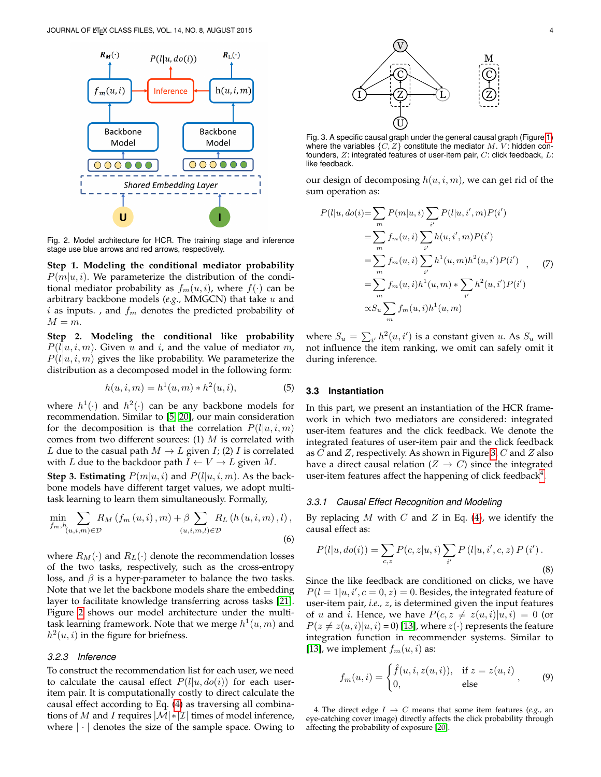

<span id="page-3-0"></span>Fig. 2. Model architecture for HCR. The training stage and inference stage use blue arrows and red arrows, respectively.

**Step 1. Modeling the conditional mediator probability**  $P(m|u, i)$ . We parameterize the distribution of the conditional mediator probability as  $f_m(u, i)$ , where  $f(\cdot)$  can be arbitrary backbone models (*e.g.,* MMGCN) that take u and  $i$  as inputs. , and  $f_m$  denotes the predicted probability of  $M = m$ .

**Step 2. Modeling the conditional like probability**  $P(l|u, i, m)$ . Given u and i, and the value of mediator m,  $P(l|u, i, m)$  gives the like probability. We parameterize the distribution as a decomposed model in the following form:

<span id="page-3-6"></span>
$$
h(u, i, m) = h^{1}(u, m) * h^{2}(u, i),
$$
\n(5)

where  $h^1(\cdot)$  and  $h^2(\cdot)$  can be any backbone models for recommendation. Similar to [\[5,](#page-9-4) [20\]](#page-10-10), our main consideration for the decomposition is that the correlation  $P(l|u, i, m)$ comes from two different sources: (1)  $M$  is correlated with L due to the casual path  $M \to L$  given I; (2) I is correlated with L due to the backdoor path  $I \leftarrow V \rightarrow L$  given M.

**Step 3. Estimating**  $P(m|u, i)$  and  $P(l|u, i, m)$ . As the backbone models have different target values, we adopt multitask learning to learn them simultaneously. Formally,

$$
\min_{f_m, h_{(u,i,m)\in\mathcal{D}}} \sum_{m,n} R_M(f_m(u,i),m) + \beta \sum_{(u,i,m,l)\in\mathcal{D}} R_L(h(u,i,m),l),
$$
\n(6)

where  $R_M(\cdot)$  and  $R_L(\cdot)$  denote the recommendation losses of the two tasks, respectively, such as the cross-entropy loss, and  $\beta$  is a hyper-parameter to balance the two tasks. Note that we let the backbone models share the embedding layer to facilitate knowledge transferring across tasks [\[21\]](#page-10-11). Figure [2](#page-3-0) shows our model architecture under the multitask learning framework. Note that we merge  $h^1(u,m)$  and  $h<sup>2</sup>(u, i)$  in the figure for briefness.

## *3.2.3 Inference*

To construct the recommendation list for each user, we need to calculate the causal effect  $P(l|u, do(i))$  for each useritem pair. It is computationally costly to direct calculate the causal effect according to Eq. [\(4\)](#page-2-3) as traversing all combinations of M and I requires  $|\mathcal{M}|$  \*  $|\mathcal{I}|$  times of model inference, where  $|\cdot|$  denotes the size of the sample space. Owing to



<span id="page-3-1"></span>Fig. 3. A specific causal graph under the general causal graph (Figure [1\)](#page-1-1) where the variables  $\{C, Z\}$  constitute the mediator  $M$ .  $V$ : hidden confounders,  $Z$ : integrated features of user-item pair,  $C$ : click feedback,  $L$ : like feedback.

our design of decomposing  $h(u, i, m)$ , we can get rid of the sum operation as:

<span id="page-3-5"></span>
$$
P(l|u, do(i)) = \sum_{m} P(m|u, i) \sum_{i'} P(l|u, i', m) P(i')
$$
  
= 
$$
\sum_{m} f_m(u, i) \sum_{i'} h(u, i', m) P(i')
$$
  
= 
$$
\sum_{m} f_m(u, i) \sum_{i'} h^1(u, m) h^2(u, i') P(i')
$$
  
= 
$$
\sum_{m} f_m(u, i) h^1(u, m) * \sum_{i'} h^2(u, i') P(i')
$$
  

$$
\propto S_u \sum_{m} f_m(u, i) h^1(u, m)
$$

where  $S_u = \sum_{i'} h^2(u, i')$  is a constant given u. As  $S_u$  will not influence the item ranking, we omit can safely omit it during inference.

#### **3.3 Instantiation**

In this part, we present an instantiation of the HCR framework in which two mediators are considered: integrated user-item features and the click feedback. We denote the integrated features of user-item pair and the click feedback as  $C$  and  $Z$ , respectively. As shown in Figure [3,](#page-3-1)  $C$  and  $Z$  also have a direct causal relation ( $Z \rightarrow C$ ) since the integrated user-item features affect the happening of click feedback $4$ .

#### *3.3.1 Causal Effect Recognition and Modeling*

<span id="page-3-4"></span>By replacing  $M$  with  $C$  and  $Z$  in Eq. [\(4\)](#page-2-3), we identify the causal effect as:

$$
P(l|u, do(i)) = \sum_{c,z} P(c, z|u, i) \sum_{i'} P(l|u, i', c, z) P(i').
$$
\n(8)

Since the like feedback are conditioned on clicks, we have  $P(l = 1|u, i', c = 0, z) = 0$ . Besides, the integrated feature of user-item pair, *i.e.,* z, is determined given the input features of u and i. Hence, we have  $P(c, z \neq z(u, i)|u, i) = 0$  (or  $P(z \neq z(u, i)|u, i) = 0$ ) [\[13\]](#page-10-3), where  $z(\cdot)$  represents the feature integration function in recommender systems. Similar to [\[13\]](#page-10-3), we implement  $f_m(u, i)$  as:

<span id="page-3-3"></span>
$$
f_m(u, i) = \begin{cases} \hat{f}(u, i, z(u, i)), & \text{if } z = z(u, i) \\ 0, & \text{else} \end{cases}
$$
 (9)

<span id="page-3-2"></span>4. The direct edge  $I \rightarrow C$  means that some item features (*e.g.*, an eye-catching cover image) directly affects the click probability through affecting the probability of exposure [\[20\]](#page-10-10).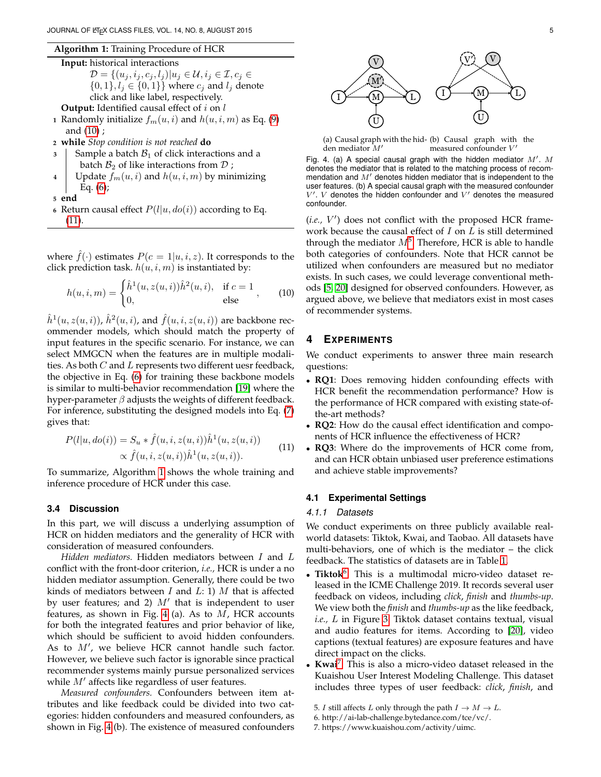#### **Algorithm 1:** Training Procedure of HCR

<span id="page-4-2"></span>**Input:** historical interactions  
\n
$$
\mathcal{D} = \{(u_j, i_j, c_j, l_j) | u_j \in \mathcal{U}, i_j \in \mathcal{I}, c_j \in
$$
\n
$$
\{0, 1\}, l_j \in \{0, 1\}\}
$$
\nwhere  $c_j$  and  $l_j$  denote  
\nclick and like label, respectively.  
\n**Output:** Identified causal effect of *i* on *l*

- **1** Randomly initialize  $f_m(u, i)$  and  $h(u, i, m)$  as Eq. [\(9\)](#page-3-3) and [\(10\)](#page-4-0) ;
- **<sup>2</sup> while** *Stop condition is not reached* **do**
- **3** Sample a batch  $\mathcal{B}_1$  of click interactions and a batch  $B_2$  of like interactions from  $D$ ;
- **4** | Update  $f_m(u, i)$  and  $h(u, i, m)$  by minimizing Eq.  $(6)$ ;
- **<sup>5</sup> end**
- **6** Return causal effect  $P(l|u, do(i))$  according to Eq. [\(11\)](#page-4-1).

where  $f(\cdot)$  estimates  $P(c = 1 | u, i, z)$ . It corresponds to the click prediction task.  $h(u, i, m)$  is instantiated by:

<span id="page-4-0"></span>
$$
h(u, i, m) = \begin{cases} \hat{h}^{1}(u, z(u, i))\hat{h}^{2}(u, i), & \text{if } c = 1 \\ 0, & \text{else} \end{cases}
$$
 (10)

 $\hat{h}^1(u, z(u, i))$ ,  $\hat{h}^2(u, i)$ , and  $\hat{f}(u, i, z(u, i))$  are backbone recommender models, which should match the property of input features in the specific scenario. For instance, we can select MMGCN when the features are in multiple modalities. As both  $C$  and  $L$  represents two different uesr feedback, the objective in Eq. [\(6\)](#page-3-4) for training these backbone models is similar to multi-behavior recommendation [\[19\]](#page-10-9) where the hyper-parameter  $\beta$  adjusts the weights of different feedback. For inference, substituting the designed models into Eq. [\(7\)](#page-3-5) gives that:

<span id="page-4-1"></span>
$$
P(l|u, do(i)) = S_u * \hat{f}(u, i, z(u, i))\hat{h}^1(u, z(u, i))
$$
  
 
$$
\propto \hat{f}(u, i, z(u, i))\hat{h}^1(u, z(u, i)).
$$
 (11)

To summarize, Algorithm [1](#page-4-2) shows the whole training and inference procedure of HCR under this case.

# **3.4 Discussion**

In this part, we will discuss a underlying assumption of HCR on hidden mediators and the generality of HCR with consideration of measured confounders.

*Hidden mediators.* Hidden mediators between I and L conflict with the front-door criterion, *i.e.,* HCR is under a no hidden mediator assumption. Generally, there could be two kinds of mediators between  $I$  and  $L: 1$ )  $M$  that is affected by user features; and 2)  $M'$  that is independent to user features, as shown in Fig. [4](#page-4-3) (a). As to  $M$ , HCR accounts for both the integrated features and prior behavior of like, which should be sufficient to avoid hidden confounders. As to  $M'$ , we believe HCR cannot handle such factor. However, we believe such factor is ignorable since practical recommender systems mainly pursue personalized services while  $M'$  affects like regardless of user features.

*Measured confounders.* Confounders between item attributes and like feedback could be divided into two categories: hidden confounders and measured confounders, as shown in Fig. [4](#page-4-3) (b). The existence of measured confounders



<span id="page-4-3"></span>(a) Causal graph with the hid-(b) Causal graph with the  $m$ easured confounder  $V'$ 

| Fig. 4. (a) A special causal graph with the hidden mediator $M'$ . M   |
|------------------------------------------------------------------------|
| denotes the mediator that is related to the matching process of recom- |
| mendation and M' denotes hidden mediator that is independent to the    |
| user features. (b) A special causal graph with the measured confounder |
| $V'$ . V denotes the hidden confounder and $V'$ denotes the measured   |
| confounder.                                                            |

(i.e., V') does not conflict with the proposed HCR framework because the causal effect of  $I$  on  $L$  is still determined through the mediator  $M^5$  $M^5$ . Therefore, HCR is able to handle both categories of confounders. Note that HCR cannot be utilized when confounders are measured but no mediator exists. In such cases, we could leverage conventional methods [\[5,](#page-9-4) [20\]](#page-10-10) designed for observed confounders. However, as argued above, we believe that mediators exist in most cases of recommender systems.

# **4 EXPERIMENTS**

We conduct experiments to answer three main research questions:

- **RQ1**: Does removing hidden confounding effects with HCR benefit the recommendation performance? How is the performance of HCR compared with existing state-ofthe-art methods?
- **RQ2**: How do the causal effect identification and components of HCR influence the effectiveness of HCR?
- **RQ3**: Where do the improvements of HCR come from, and can HCR obtain unbiased user preference estimations and achieve stable improvements?

# **4.1 Experimental Settings**

#### *4.1.1 Datasets*

We conduct experiments on three publicly available realworld datasets: Tiktok, Kwai, and Taobao. All datasets have multi-behaviors, one of which is the mediator – the click feedback. The statistics of datasets are in Table [1.](#page-5-0)

- **Tiktok**[6](#page-4-5) . This is a multimodal micro-video dataset released in the ICME Challenge 2019. It records several user feedback on videos, including *click*, *finish* and *thumbs-up*. We view both the *finish* and *thumbs-up* as the like feedback, *i.e.,* L in Figure [3.](#page-3-1) Tiktok dataset contains textual, visual and audio features for items. According to [\[20\]](#page-10-10), video captions (textual features) are exposure features and have direct impact on the clicks.
- **Kwai**[7](#page-4-6) . This is also a micro-video dataset released in the Kuaishou User Interest Modeling Challenge. This dataset includes three types of user feedback: *click*, *finish*, and

<span id="page-4-4"></span><sup>5.</sup> *I* still affects *L* only through the path  $I \rightarrow M \rightarrow L$ .

<span id="page-4-5"></span><sup>6.</sup> http://ai-lab-challenge.bytedance.com/tce/vc/.

<span id="page-4-6"></span><sup>7.</sup> https://www.kuaishou.com/activity/uimc.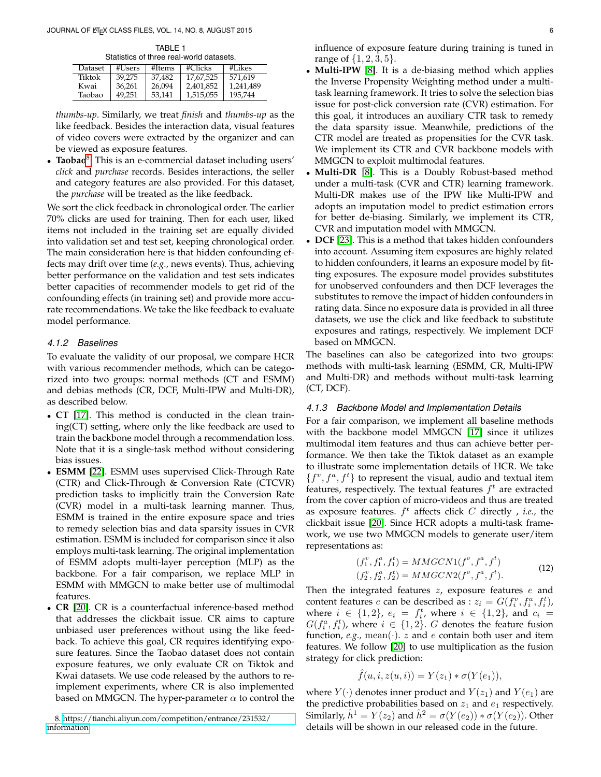TABLE 1 Statistics of three real-world datasets.

<span id="page-5-0"></span>

| ORIGICS OF HILL TUBE WOHL GERSCIS. |        |        |             |           |  |  |  |  |  |
|------------------------------------|--------|--------|-------------|-----------|--|--|--|--|--|
| Dataset                            | #Users | #Items | $\#C$ licks | #Likes    |  |  |  |  |  |
| Tiktok                             | 39.275 | 37.482 | 17,67,525   | 571.619   |  |  |  |  |  |
| Kwai                               | 36,261 | 26.094 | 2,401,852   | 1,241,489 |  |  |  |  |  |
| Taobao                             | 49,251 | 53.141 | 1,515,055   | 195,744   |  |  |  |  |  |

*thumbs-up*. Similarly, we treat *finish* and *thumbs-up* as the like feedback. Besides the interaction data, visual features of video covers were extracted by the organizer and can be viewed as exposure features.

• **Taobao**<sup>[8](#page-5-1)</sup>. This is an e-commercial dataset including users' *click* and *purchase* records. Besides interactions, the seller and category features are also provided. For this dataset, the *purchase* will be treated as the like feedback.

We sort the click feedback in chronological order. The earlier 70% clicks are used for training. Then for each user, liked items not included in the training set are equally divided into validation set and test set, keeping chronological order. The main consideration here is that hidden confounding effects may drift over time (*e.g.,* news events). Thus, achieving better performance on the validation and test sets indicates better capacities of recommender models to get rid of the confounding effects (in training set) and provide more accurate recommendations. We take the like feedback to evaluate model performance.

# *4.1.2 Baselines*

To evaluate the validity of our proposal, we compare HCR with various recommender methods, which can be categorized into two groups: normal methods (CT and ESMM) and debias methods (CR, DCF, Multi-IPW and Multi-DR), as described below.

- **CT** [\[17\]](#page-10-7). This method is conducted in the clean training(CT) setting, where only the like feedback are used to train the backbone model through a recommendation loss. Note that it is a single-task method without considering bias issues.
- **ESMM** [\[22\]](#page-10-12). ESMM uses supervised Click-Through Rate (CTR) and Click-Through & Conversion Rate (CTCVR) prediction tasks to implicitly train the Conversion Rate (CVR) model in a multi-task learning manner. Thus, ESMM is trained in the entire exposure space and tries to remedy selection bias and data sparsity issues in CVR estimation. ESMM is included for comparison since it also employs multi-task learning. The original implementation of ESMM adopts multi-layer perception (MLP) as the backbone. For a fair comparison, we replace MLP in ESMM with MMGCN to make better use of multimodal features.
- **CR** [\[20\]](#page-10-10). CR is a counterfactual inference-based method that addresses the clickbait issue. CR aims to capture unbiased user preferences without using the like feedback. To achieve this goal, CR requires identifying exposure features. Since the Taobao dataset does not contain exposure features, we only evaluate CR on Tiktok and Kwai datasets. We use code released by the authors to reimplement experiments, where CR is also implemented based on MMGCN. The hyper-parameter  $\alpha$  to control the

<span id="page-5-1"></span>8. [https://tianchi.aliyun.com/competition/entrance/231532/](https://tianchi.aliyun.com/competition/entrance/231532/information) [information](https://tianchi.aliyun.com/competition/entrance/231532/information)

influence of exposure feature during training is tuned in range of  $\{1, 2, 3, 5\}$ .

- **Multi-IPW** [\[8\]](#page-10-13). It is a de-biasing method which applies the Inverse Propensity Weighting method under a multitask learning framework. It tries to solve the selection bias issue for post-click conversion rate (CVR) estimation. For this goal, it introduces an auxiliary CTR task to remedy the data sparsity issue. Meanwhile, predictions of the CTR model are treated as propensities for the CVR task. We implement its CTR and CVR backbone models with MMGCN to exploit multimodal features.
- **Multi-DR** [\[8\]](#page-10-13). This is a Doubly Robust-based method under a multi-task (CVR and CTR) learning framework. Multi-DR makes use of the IPW like Multi-IPW and adopts an imputation model to predict estimation errors for better de-biasing. Similarly, we implement its CTR, CVR and imputation model with MMGCN.
- **DCF** [\[23\]](#page-10-14). This is a method that takes hidden confounders into account. Assuming item exposures are highly related to hidden confounders, it learns an exposure model by fitting exposures. The exposure model provides substitutes for unobserved confounders and then DCF leverages the substitutes to remove the impact of hidden confounders in rating data. Since no exposure data is provided in all three datasets, we use the click and like feedback to substitute exposures and ratings, respectively. We implement DCF based on MMGCN.

The baselines can also be categorized into two groups: methods with multi-task learning (ESMM, CR, Multi-IPW and Multi-DR) and methods without multi-task learning (CT, DCF).

# *4.1.3 Backbone Model and Implementation Details*

For a fair comparison, we implement all baseline methods with the backbone model MMGCN [\[17\]](#page-10-7) since it utilizes multimodal item features and thus can achieve better performance. We then take the Tiktok dataset as an example to illustrate some implementation details of HCR. We take  $\{f^v, f^a, f^t\}$  to represent the visual, audio and textual item features, respectively. The textual features  $f^t$  are extracted from the cover caption of micro-videos and thus are treated as exposure features. f t affects click C directly , *i.e.,* the clickbait issue [\[20\]](#page-10-10). Since HCR adopts a multi-task framework, we use two MMGCN models to generate user/item representations as:

$$
(f_1^v, f_1^a, f_1^t) = MMGCN1(f^v, f^a, f^t)
$$
  
\n
$$
(f_2^v, f_2^a, f_2^t) = MMGCN2(f^v, f^a, f^t).
$$
\n(12)

Then the integrated features  $z$ , exposure features  $e$  and content features c can be described as :  $z_i = G(f_i^v, f_i^a, f_i^t)$ , where  $i \in \{1,2\}$ ,  $e_i = f_i^t$ , where  $i \in \{1,2\}$ , and  $c_i =$  $G(f_i^a, f_i^t)$ , where  $i \in \{1,2\}$ . G denotes the feature fusion function,  $e.g.,$  mean( $\cdot$ ).  $z$  and  $e$  contain both user and item features. We follow [\[20\]](#page-10-10) to use multiplication as the fusion strategy for click prediction:

$$
\hat{f}(u, i, z(u, i)) = Y(z_1) * \sigma(Y(e_1)),
$$

where  $Y(\cdot)$  denotes inner product and  $Y(z_1)$  and  $Y(e_1)$  are the predictive probabilities based on  $z_1$  and  $e_1$  respectively. Similarly,  $\hat{h}^1 = Y(z_2)$  and  $\hat{h}^2 = \sigma(Y(e_2)) * \sigma(Y(e_2))$ . Other details will be shown in our released code in the future.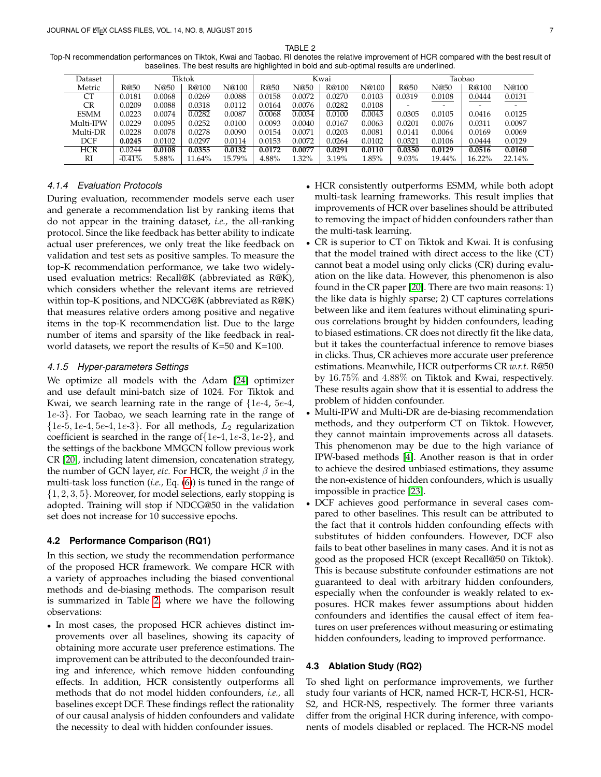TABLE<sub>2</sub>

<span id="page-6-0"></span>Top-N recommendation performances on Tiktok, Kwai and Taobao. RI denotes the relative improvement of HCR compared with the best result of baselines. The best results are highlighted in bold and sub-optimal results are underlined.

| Dataset     | Tiktok   |        |        |        | Kwai   |        |        |        | Taobao   |        |        |                          |
|-------------|----------|--------|--------|--------|--------|--------|--------|--------|----------|--------|--------|--------------------------|
| Metric      | R@50     | N@50   | R@100  | N@100  | R@50   | N@50   | R@100  | N@100  | R@50     | N@50   | R@100  | N@100                    |
| СT          | 0.0181   | 0.0068 | 0.0269 | 0.0088 | 0.0158 | 0.0072 | 0.0270 | 0.0103 | 0.0319   | 0.0108 | 0.0444 | 0.0131                   |
| CR          | 0.0209   | 0.0088 | 0.0318 | 0.0112 | 0.0164 | 0.0076 | 0.0282 | 0.0108 |          | -      |        | $\overline{\phantom{0}}$ |
| <b>ESMM</b> | 0.0223   | 0.0074 | 0.0282 | 0.0087 | 0.0068 | 0.0034 | 0.0100 | 0.0043 | 0.0305   | 0.0105 | 0.0416 | 0.0125                   |
| Multi-IPW   | 0.0229   | 0.0095 | 0.0252 | 0.0100 | 0.0093 | 0.0040 | 0.0167 | 0.0063 | 0.0201   | 0.0076 | 0.0311 | 0.0097                   |
| Multi-DR    | 0.0228   | 0.0078 | 0.0278 | 0.0090 | 0.0154 | 0.0071 | 0.0203 | 0.0081 | 0.0141   | 0.0064 | 0.0169 | 0.0069                   |
| <b>DCF</b>  | 0.0245   | 0.0102 | 0.0297 | 0.0114 | 0.0153 | 0.0072 | 0.0264 | 0.0102 | 0.0321   | 0.0106 | 0.0444 | 0.0129                   |
| <b>HCR</b>  | 0.0244   | 0.0108 | 0.0355 | 0.0132 | 0.0172 | 0.0077 | 0.0291 | 0.0110 | 0.0350   | 0.0129 | 0.0516 | 0.0160                   |
| RI          | $-0.41%$ | 5.88%  | 11.64% | 15.79% | 4.88%  | 1.32%  | 3.19%  | 1.85%  | $9.03\%$ | 19.44% | 16.22% | 22.14%                   |

## *4.1.4 Evaluation Protocols*

During evaluation, recommender models serve each user and generate a recommendation list by ranking items that do not appear in the training dataset, *i.e.,* the all-ranking protocol. Since the like feedback has better ability to indicate actual user preferences, we only treat the like feedback on validation and test sets as positive samples. To measure the top-K recommendation performance, we take two widelyused evaluation metrics: Recall@K (abbreviated as R@K), which considers whether the relevant items are retrieved within top-K positions, and NDCG@K (abbreviated as R@K) that measures relative orders among positive and negative items in the top-K recommendation list. Due to the large number of items and sparsity of the like feedback in realworld datasets, we report the results of K=50 and K=100.

#### *4.1.5 Hyper-parameters Settings*

We optimize all models with the Adam [\[24\]](#page-10-15) optimizer and use default mini-batch size of 1024. For Tiktok and Kwai, we search learning rate in the range of  $\{1e-4, 5e-4, 5e-4, 5e-6, 5e-6, 5e-6, 5e-6, 5e-6, 5e-6, 5e-6, 5e-6, 5e-6, 5e-6, 5e-6, 5e-6, 5e-6, 5e-6, 5e-6, 5e-6, 5e-6, 5e-6, 5e-6, 5e-6, 5e-6, 5e-6, 5e-6, 5e-6, 5e-6, 5e-6$ 1e-3}. For Taobao, we seach learning rate in the range of  $\{1e-5, 1e-4, 5e-4, 1e-3\}$ . For all methods,  $L_2$  regularization coefficient is searched in the range of  $\{1e-4, 1e-3, 1e-2\}$ , and the settings of the backbone MMGCN follow previous work CR [\[20\]](#page-10-10), including latent dimension, concatenation strategy, the number of GCN layer, *etc*. For HCR, the weight  $\beta$  in the multi-task loss function (*i.e.,* Eq. [\(6\)](#page-3-4)) is tuned in the range of {1, 2, 3, 5}. Moreover, for model selections, early stopping is adopted. Training will stop if NDCG@50 in the validation set does not increase for 10 successive epochs.

## **4.2 Performance Comparison (RQ1)**

In this section, we study the recommendation performance of the proposed HCR framework. We compare HCR with a variety of approaches including the biased conventional methods and de-biasing methods. The comparison result is summarized in Table [2,](#page-6-0) where we have the following observations:

• In most cases, the proposed HCR achieves distinct improvements over all baselines, showing its capacity of obtaining more accurate user preference estimations. The improvement can be attributed to the deconfounded training and inference, which remove hidden confounding effects. In addition, HCR consistently outperforms all methods that do not model hidden confounders, *i.e.,* all baselines except DCF. These findings reflect the rationality of our causal analysis of hidden confounders and validate the necessity to deal with hidden confounder issues.

- HCR consistently outperforms ESMM, while both adopt multi-task learning frameworks. This result implies that improvements of HCR over baselines should be attributed to removing the impact of hidden confounders rather than the multi-task learning.
- CR is superior to CT on Tiktok and Kwai. It is confusing that the model trained with direct access to the like (CT) cannot beat a model using only clicks (CR) during evaluation on the like data. However, this phenomenon is also found in the CR paper [\[20\]](#page-10-10). There are two main reasons: 1) the like data is highly sparse; 2) CT captures correlations between like and item features without eliminating spurious correlations brought by hidden confounders, leading to biased estimations. CR does not directly fit the like data, but it takes the counterfactual inference to remove biases in clicks. Thus, CR achieves more accurate user preference estimations. Meanwhile, HCR outperforms CR *w.r.t.* R@50 by 16.75% and 4.88% on Tiktok and Kwai, respectively. These results again show that it is essential to address the problem of hidden confounder.
- Multi-IPW and Multi-DR are de-biasing recommendation methods, and they outperform CT on Tiktok. However, they cannot maintain improvements across all datasets. This phenomenon may be due to the high variance of IPW-based methods [\[4\]](#page-9-3). Another reason is that in order to achieve the desired unbiased estimations, they assume the non-existence of hidden confounders, which is usually impossible in practice [\[23\]](#page-10-14).
- DCF achieves good performance in several cases compared to other baselines. This result can be attributed to the fact that it controls hidden confounding effects with substitutes of hidden confounders. However, DCF also fails to beat other baselines in many cases. And it is not as good as the proposed HCR (except Recall@50 on Tiktok). This is because substitute confounder estimations are not guaranteed to deal with arbitrary hidden confounders, especially when the confounder is weakly related to exposures. HCR makes fewer assumptions about hidden confounders and identifies the causal effect of item features on user preferences without measuring or estimating hidden confounders, leading to improved performance.

## **4.3 Ablation Study (RQ2)**

To shed light on performance improvements, we further study four variants of HCR, named HCR-T, HCR-S1, HCR-S2, and HCR-NS, respectively. The former three variants differ from the original HCR during inference, with components of models disabled or replaced. The HCR-NS model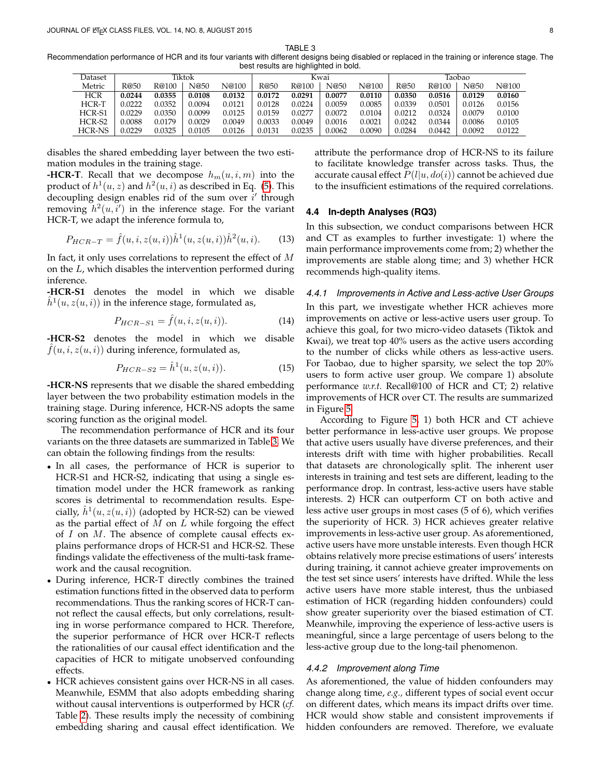TABLE 3

<span id="page-7-0"></span>Recommendation performance of HCR and its four variants with different designs being disabled or replaced in the training or inference stage. The best results are highlighted in bold.

| Dataset    | Tiktok |        |        |        | Kwai   |        |        |        | Taobao |        |        |        |
|------------|--------|--------|--------|--------|--------|--------|--------|--------|--------|--------|--------|--------|
| Metric     | R@50   | R@100  | N@50   | N@100  | R@50   | R@100  | N@50   | N@100  | R@50   | R@100  | N@50   | N@100  |
| <b>HCR</b> | 0.0244 | 0.0355 | 0.0108 | 0.0132 | 0.0172 | 0.0291 | 0.0077 | 0.0110 | 0.0350 | 0.0516 | 0.0129 | 0.0160 |
| HCR-T      | 0.0222 | 0.0352 | 0.0094 | 0.0121 | 0.0128 | 0.0224 | 0.0059 | 0.0085 | 0.0339 | 0.0501 | 0.0126 | 0.0156 |
| HCR-S1     | 0.0229 | 0.0350 | 0.0099 | 0.0125 | 0.0159 | 0.0277 | 0.0072 | 0.0104 | 0.0212 | 0.0324 | 0.0079 | 0.0100 |
| HCR-S2     | 0.0088 | 0.0179 | 0.0029 | 0.0049 | 0.0033 | 0.0049 | 0.0016 | 0.0021 | 0.0242 | 0.0344 | 0.0086 | 0.0105 |
| HCR-NS     | 0.0229 | 0.0325 | 0.0105 | 0.0126 | 0.0131 | 0.0235 | 0.0062 | 0.0090 | 0.0284 | 0.0442 | 0.0092 | 0.0122 |

disables the shared embedding layer between the two estimation modules in the training stage.

**-HCR-T**. Recall that we decompose  $h_m(u, i, m)$  into the product of  $h^1(u, z)$  and  $h^2(u, i)$  as described in Eq. [\(5\)](#page-3-6). This decoupling design enables rid of the sum over  $i'$  through removing  $\bar{h}^2(u, \bar{i}')$  in the inference stage. For the variant HCR-T, we adapt the inference formula to,

$$
P_{HCR-T} = \hat{f}(u, i, z(u, i))\hat{h}^{1}(u, z(u, i))\hat{h}^{2}(u, i).
$$
 (13)

In fact, it only uses correlations to represent the effect of M on the L, which disables the intervention performed during inference.

**-HCR-S1** denotes the model in which we disable  $\hat{h}^1(u, z(u, i))$  in the inference stage, formulated as,

$$
P_{HCR-S1} = \hat{f}(u, i, z(u, i)).
$$
 (14)

**-HCR-S2** denotes the model in which we disable  $f(u, i, z(u, i))$  during inference, formulated as,

$$
P_{HCR-S2} = \hat{h}^{1}(u, z(u, i)).
$$
 (15)

**-HCR-NS** represents that we disable the shared embedding layer between the two probability estimation models in the training stage. During inference, HCR-NS adopts the same scoring function as the original model.

The recommendation performance of HCR and its four variants on the three datasets are summarized in Table [3.](#page-7-0) We can obtain the following findings from the results:

- In all cases, the performance of HCR is superior to HCR-S1 and HCR-S2, indicating that using a single estimation model under the HCR framework as ranking scores is detrimental to recommendation results. Especially,  $\hat{h}^1(u, z(u, i))$  (adopted by HCR-S2) can be viewed as the partial effect of  $M$  on  $L$  while forgoing the effect of  $I$  on  $M$ . The absence of complete causal effects explains performance drops of HCR-S1 and HCR-S2. These findings validate the effectiveness of the multi-task framework and the causal recognition.
- During inference, HCR-T directly combines the trained estimation functions fitted in the observed data to perform recommendations. Thus the ranking scores of HCR-T cannot reflect the causal effects, but only correlations, resulting in worse performance compared to HCR. Therefore, the superior performance of HCR over HCR-T reflects the rationalities of our causal effect identification and the capacities of HCR to mitigate unobserved confounding effects.
- HCR achieves consistent gains over HCR-NS in all cases. Meanwhile, ESMM that also adopts embedding sharing without causal interventions is outperformed by HCR (*cf.* Table [2\)](#page-6-0). These results imply the necessity of combining embedding sharing and causal effect identification. We

attribute the performance drop of HCR-NS to its failure to facilitate knowledge transfer across tasks. Thus, the accurate causal effect  $P(l|u, do(i))$  cannot be achieved due to the insufficient estimations of the required correlations.

#### **4.4 In-depth Analyses (RQ3)**

In this subsection, we conduct comparisons between HCR and CT as examples to further investigate: 1) where the main performance improvements come from; 2) whether the improvements are stable along time; and 3) whether HCR recommends high-quality items.

#### *4.4.1 Improvements in Active and Less-active User Groups*

In this part, we investigate whether HCR achieves more improvements on active or less-active users user group. To achieve this goal, for two micro-video datasets (Tiktok and Kwai), we treat top 40% users as the active users according to the number of clicks while others as less-active users. For Taobao, due to higher sparsity, we select the top 20% users to form active user group. We compare 1) absolute performance *w.r.t.* Recall@100 of HCR and CT; 2) relative improvements of HCR over CT. The results are summarized in Figure [5.](#page-8-0)

According to Figure [5,](#page-8-0) 1) both HCR and CT achieve better performance in less-active user groups. We propose that active users usually have diverse preferences, and their interests drift with time with higher probabilities. Recall that datasets are chronologically split. The inherent user interests in training and test sets are different, leading to the performance drop. In contrast, less-active users have stable interests. 2) HCR can outperform CT on both active and less active user groups in most cases (5 of 6), which verifies the superiority of HCR. 3) HCR achieves greater relative improvements in less-active user group. As aforementioned, active users have more unstable interests. Even though HCR obtains relatively more precise estimations of users' interests during training, it cannot achieve greater improvements on the test set since users' interests have drifted. While the less active users have more stable interest, thus the unbiased estimation of HCR (regarding hidden confounders) could show greater superiority over the biased estimation of CT. Meanwhile, improving the experience of less-active users is meaningful, since a large percentage of users belong to the less-active group due to the long-tail phenomenon.

## *4.4.2 Improvement along Time*

As aforementioned, the value of hidden confounders may change along time, *e.g.,* different types of social event occur on different dates, which means its impact drifts over time. HCR would show stable and consistent improvements if hidden confounders are removed. Therefore, we evaluate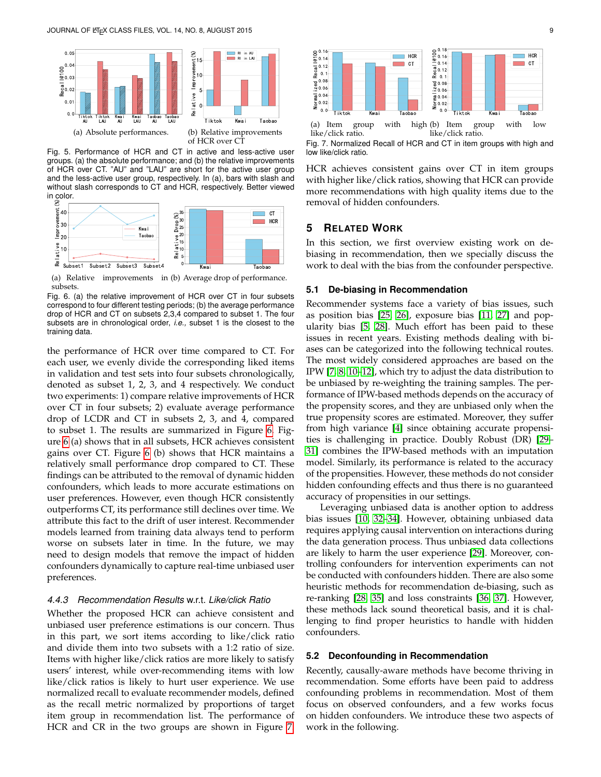

<span id="page-8-0"></span>Fig. 5. Performance of HCR and CT in active and less-active user groups. (a) the absolute performance; and (b) the relative improvements of HCR over CT. "AU" and "LAU" are short for the active user group and the less-active user group, respectively. In (a), bars with slash and without slash corresponds to CT and HCR, respectively. Better viewed in color.



(a) Relative improvements in (b) Average drop of performance. subsets.

<span id="page-8-1"></span>Fig. 6. (a) the relative improvement of HCR over CT in four subsets correspond to four different testing periods; (b) the average performance drop of HCR and CT on subsets 2,3,4 compared to subset 1. The four subsets are in chronological order, *i.e.,* subset 1 is the closest to the training data.

the performance of HCR over time compared to CT. For each user, we evenly divide the corresponding liked items in validation and test sets into four subsets chronologically, denoted as subset 1, 2, 3, and 4 respectively. We conduct two experiments: 1) compare relative improvements of HCR over CT in four subsets; 2) evaluate average performance drop of LCDR and CT in subsets 2, 3, and 4, compared to subset 1. The results are summarized in Figure [6.](#page-8-1) Figure [6](#page-8-1) (a) shows that in all subsets, HCR achieves consistent gains over CT. Figure [6](#page-8-1) (b) shows that HCR maintains a relatively small performance drop compared to CT. These findings can be attributed to the removal of dynamic hidden confounders, which leads to more accurate estimations on user preferences. However, even though HCR consistently outperforms CT, its performance still declines over time. We attribute this fact to the drift of user interest. Recommender models learned from training data always tend to perform worse on subsets later in time. In the future, we may need to design models that remove the impact of hidden confounders dynamically to capture real-time unbiased user preferences. He in the two seconds of the two seconds of the two seconds of the two groups are shown in Figure [7.](#page-8-2) The two groups are shown in Figure 7. The two groups are shown in Figure 7. The two groups are shown in Figure 7. The

#### *4.4.3 Recommendation Results* w.r.t. *Like/click Ratio*

Whether the proposed HCR can achieve consistent and unbiased user preference estimations is our concern. Thus in this part, we sort items according to like/click ratio and divide them into two subsets with a 1:2 ratio of size. Items with higher like/click ratios are more likely to satisfy users' interest, while over-recommending items with low like/click ratios is likely to hurt user experience. We use normalized recall to evaluate recommender models, defined as the recall metric normalized by proportions of target item group in recommendation list. The performance of



 $(a)$  Item group with like/click ratio. high (b) Item group with low like/click ratio.

HCR achieves consistent gains over CT in item groups with higher like/click ratios, showing that HCR can provide more recommendations with high quality items due to the removal of hidden confounders.

# **5 RELATED WORK**

In this section, we first overview existing work on debiasing in recommendation, then we specially discuss the work to deal with the bias from the confounder perspective.

# **5.1 De-biasing in Recommendation**

Recommender systems face a variety of bias issues, such as position bias [\[25,](#page-10-16) [26\]](#page-10-17), exposure bias [\[11,](#page-10-18) [27\]](#page-10-19) and popularity bias [\[5,](#page-9-4) [28\]](#page-10-20). Much effort has been paid to these issues in recent years. Existing methods dealing with biases can be categorized into the following technical routes. The most widely considered approaches are based on the IPW [\[7,](#page-10-1) [8,](#page-10-13) [10](#page-10-21)[–12\]](#page-10-2), which try to adjust the data distribution to be unbiased by re-weighting the training samples. The performance of IPW-based methods depends on the accuracy of the propensity scores, and they are unbiased only when the true propensity scores are estimated. Moreover, they suffer from high variance [\[4\]](#page-9-3) since obtaining accurate propensities is challenging in practice. Doubly Robust (DR) [\[29–](#page-10-22) [31\]](#page-10-23) combines the IPW-based methods with an imputation model. Similarly, its performance is related to the accuracy of the propensities. However, these methods do not consider hidden confounding effects and thus there is no guaranteed accuracy of propensities in our settings.

Leveraging unbiased data is another option to address bias issues [\[10,](#page-10-21) [32](#page-10-24)[–34\]](#page-10-25). However, obtaining unbiased data requires applying causal intervention on interactions during the data generation process. Thus unbiased data collections are likely to harm the user experience [\[29\]](#page-10-22). Moreover, controlling confounders for intervention experiments can not be conducted with confounders hidden. There are also some heuristic methods for recommendation de-biasing, such as re-ranking [\[28,](#page-10-20) [35\]](#page-10-26) and loss constraints [\[36,](#page-10-27) [37\]](#page-10-28). However, these methods lack sound theoretical basis, and it is challenging to find proper heuristics to handle with hidden confounders.

#### **5.2 Deconfounding in Recommendation**

Recently, causally-aware methods have become thriving in recommendation. Some efforts have been paid to address confounding problems in recommendation. Most of them focus on observed confounders, and a few works focus on hidden confounders. We introduce these two aspects of work in the following.

<span id="page-8-2"></span>Fig. 7. Normalized Recall of HCR and CT in item groups with high and low like/click ratio.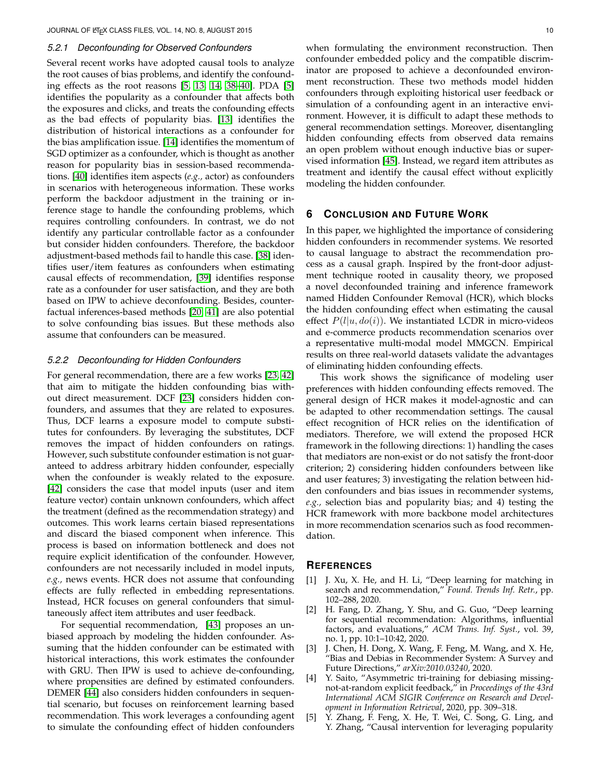#### *5.2.1 Deconfounding for Observed Confounders*

Several recent works have adopted causal tools to analyze the root causes of bias problems, and identify the confounding effects as the root reasons [\[5,](#page-9-4) [13,](#page-10-3) [14,](#page-10-4) [38](#page-11-0)[–40\]](#page-11-1). PDA [\[5\]](#page-9-4) identifies the popularity as a confounder that affects both the exposures and clicks, and treats the confounding effects as the bad effects of popularity bias. [\[13\]](#page-10-3) identifies the distribution of historical interactions as a confounder for the bias amplification issue. [\[14\]](#page-10-4) identifies the momentum of SGD optimizer as a confounder, which is thought as another reason for popularity bias in session-based recommendations. [\[40\]](#page-11-1) identifies item aspects (*e.g.,* actor) as confounders in scenarios with heterogeneous information. These works perform the backdoor adjustment in the training or inference stage to handle the confounding problems, which requires controlling confounders. In contrast, we do not identify any particular controllable factor as a confounder but consider hidden confounders. Therefore, the backdoor adjustment-based methods fail to handle this case. [\[38\]](#page-11-0) identifies user/item features as confounders when estimating causal effects of recommendation, [\[39\]](#page-11-2) identifies response rate as a confounder for user satisfaction, and they are both based on IPW to achieve deconfounding. Besides, counterfactual inferences-based methods [\[20,](#page-10-10) [41\]](#page-11-3) are also potential to solve confounding bias issues. But these methods also assume that confounders can be measured.

## *5.2.2 Deconfounding for Hidden Confounders*

For general recommendation, there are a few works [\[23,](#page-10-14) [42\]](#page-11-4) that aim to mitigate the hidden confounding bias without direct measurement. DCF [\[23\]](#page-10-14) considers hidden confounders, and assumes that they are related to exposures. Thus, DCF learns a exposure model to compute substitutes for confounders. By leveraging the substitutes, DCF removes the impact of hidden confounders on ratings. However, such substitute confounder estimation is not guaranteed to address arbitrary hidden confounder, especially when the confounder is weakly related to the exposure. [\[42\]](#page-11-4) considers the case that model inputs (user and item feature vector) contain unknown confounders, which affect the treatment (defined as the recommendation strategy) and outcomes. This work learns certain biased representations and discard the biased component when inference. This process is based on information bottleneck and does not require explicit identification of the confounder. However, confounders are not necessarily included in model inputs, *e.g.,* news events. HCR does not assume that confounding effects are fully reflected in embedding representations. Instead, HCR focuses on general confounders that simultaneously affect item attributes and user feedback.

For sequential recommendation, [\[43\]](#page-11-5) proposes an unbiased approach by modeling the hidden confounder. Assuming that the hidden confounder can be estimated with historical interactions, this work estimates the confounder with GRU. Then IPW is used to achieve de-confounding, where propensities are defined by estimated confounders. DEMER [\[44\]](#page-11-6) also considers hidden confounders in sequential scenario, but focuses on reinforcement learning based recommendation. This work leverages a confounding agent to simulate the confounding effect of hidden confounders

when formulating the environment reconstruction. Then confounder embedded policy and the compatible discriminator are proposed to achieve a deconfounded environment reconstruction. These two methods model hidden confounders through exploiting historical user feedback or simulation of a confounding agent in an interactive environment. However, it is difficult to adapt these methods to general recommendation settings. Moreover, disentangling hidden confounding effects from observed data remains an open problem without enough inductive bias or supervised information [\[45\]](#page-11-7). Instead, we regard item attributes as treatment and identify the causal effect without explicitly modeling the hidden confounder.

## **6 CONCLUSION AND FUTURE WORK**

In this paper, we highlighted the importance of considering hidden confounders in recommender systems. We resorted to causal language to abstract the recommendation process as a causal graph. Inspired by the front-door adjustment technique rooted in causality theory, we proposed a novel deconfounded training and inference framework named Hidden Confounder Removal (HCR), which blocks the hidden confounding effect when estimating the causal effect  $P(l|u, do(i))$ . We instantiated LCDR in micro-videos and e-commerce products recommendation scenarios over a representative multi-modal model MMGCN. Empirical results on three real-world datasets validate the advantages of eliminating hidden confounding effects.

This work shows the significance of modeling user preferences with hidden confounding effects removed. The general design of HCR makes it model-agnostic and can be adapted to other recommendation settings. The causal effect recognition of HCR relies on the identification of mediators. Therefore, we will extend the proposed HCR framework in the following directions: 1) handling the cases that mediators are non-exist or do not satisfy the front-door criterion; 2) considering hidden confounders between like and user features; 3) investigating the relation between hidden confounders and bias issues in recommender systems, *e.g.,* selection bias and popularity bias; and 4) testing the HCR framework with more backbone model architectures in more recommendation scenarios such as food recommendation.

# **REFERENCES**

- <span id="page-9-0"></span>[1] J. Xu, X. He, and H. Li, "Deep learning for matching in search and recommendation," *Found. Trends Inf. Retr.*, pp. 102–288, 2020.
- <span id="page-9-1"></span>[2] H. Fang, D. Zhang, Y. Shu, and G. Guo, "Deep learning for sequential recommendation: Algorithms, influential factors, and evaluations," *ACM Trans. Inf. Syst.*, vol. 39, no. 1, pp. 10:1–10:42, 2020.
- <span id="page-9-2"></span>[3] J. Chen, H. Dong, X. Wang, F. Feng, M. Wang, and X. He, "Bias and Debias in Recommender System: A Survey and Future Directions," *arXiv:2010.03240*, 2020.
- <span id="page-9-3"></span>[4] Y. Saito, "Asymmetric tri-training for debiasing missingnot-at-random explicit feedback," in *Proceedings of the 43rd International ACM SIGIR Conference on Research and Development in Information Retrieval*, 2020, pp. 309–318.
- <span id="page-9-4"></span>[5] Y. Zhang, F. Feng, X. He, T. Wei, C. Song, G. Ling, and Y. Zhang, "Causal intervention for leveraging popularity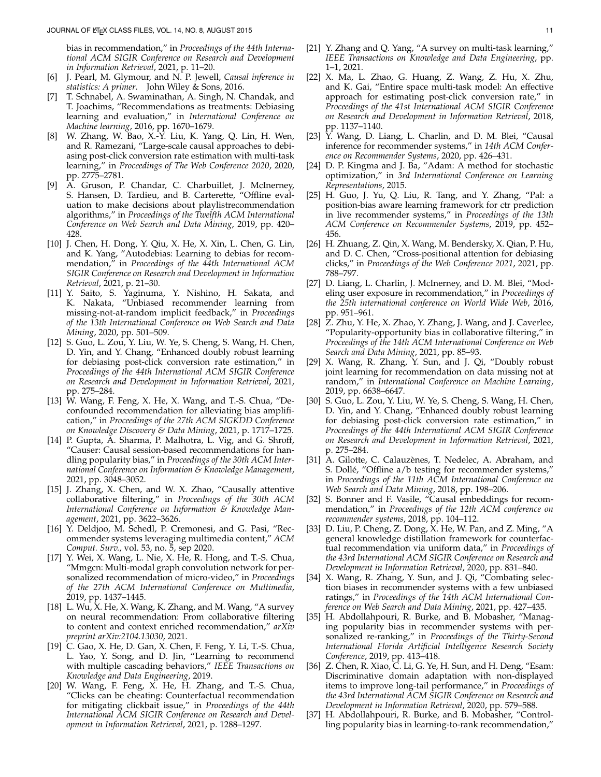bias in recommendation," in *Proceedings of the 44th International ACM SIGIR Conference on Research and Development in Information Retrieval*, 2021, p. 11–20.

- <span id="page-10-0"></span>[6] J. Pearl, M. Glymour, and N. P. Jewell, *Causal inference in statistics: A primer*. John Wiley & Sons, 2016.
- <span id="page-10-1"></span>[7] T. Schnabel, A. Swaminathan, A. Singh, N. Chandak, and T. Joachims, "Recommendations as treatments: Debiasing learning and evaluation," in *International Conference on Machine learning*, 2016, pp. 1670–1679.
- <span id="page-10-13"></span>[8] W. Zhang, W. Bao, X.-Y. Liu, K. Yang, Q. Lin, H. Wen, and R. Ramezani, "Large-scale causal approaches to debiasing post-click conversion rate estimation with multi-task learning," in *Proceedings of The Web Conference 2020*, 2020, pp. 2775–2781.
- [9] A. Gruson, P. Chandar, C. Charbuillet, J. McInerney, S. Hansen, D. Tardieu, and B. Carterette, "Offline evaluation to make decisions about playlistrecommendation algorithms," in *Proceedings of the Twelfth ACM International Conference on Web Search and Data Mining*, 2019, pp. 420– 428.
- <span id="page-10-21"></span>[10] J. Chen, H. Dong, Y. Qiu, X. He, X. Xin, L. Chen, G. Lin, and K. Yang, "Autodebias: Learning to debias for recommendation," in *Proceedings of the 44th International ACM SIGIR Conference on Research and Development in Information Retrieval*, 2021, p. 21–30.
- <span id="page-10-18"></span>[11] Y. Saito, S. Yaginuma, Y. Nishino, H. Sakata, and K. Nakata, "Unbiased recommender learning from missing-not-at-random implicit feedback," in *Proceedings of the 13th International Conference on Web Search and Data Mining*, 2020, pp. 501–509.
- <span id="page-10-2"></span>[12] S. Guo, L. Zou, Y. Liu, W. Ye, S. Cheng, S. Wang, H. Chen, D. Yin, and Y. Chang, "Enhanced doubly robust learning for debiasing post-click conversion rate estimation," in *Proceedings of the 44th International ACM SIGIR Conference on Research and Development in Information Retrieval*, 2021, pp. 275–284.
- <span id="page-10-3"></span>[13] W. Wang, F. Feng, X. He, X. Wang, and T.-S. Chua, "Deconfounded recommendation for alleviating bias amplification," in *Proceedings of the 27th ACM SIGKDD Conference on Knowledge Discovery & Data Mining*, 2021, p. 1717–1725.
- <span id="page-10-4"></span>[14] P. Gupta, A. Sharma, P. Malhotra, L. Vig, and G. Shroff, "Causer: Causal session-based recommendations for handling popularity bias," in *Proceedings of the 30th ACM International Conference on Information & Knowledge Management*, 2021, pp. 3048–3052.
- <span id="page-10-5"></span>[15] J. Zhang, X. Chen, and W. X. Zhao, "Causally attentive collaborative filtering," in *Proceedings of the 30th ACM International Conference on Information & Knowledge Management*, 2021, pp. 3622–3626.
- <span id="page-10-6"></span>[16] Y. Deldjoo, M. Schedl, P. Cremonesi, and G. Pasi, "Recommender systems leveraging multimedia content," *ACM Comput. Surv.*, vol. 53, no. 5, sep 2020.
- <span id="page-10-7"></span>[17] Y. Wei, X. Wang, L. Nie, X. He, R. Hong, and T.-S. Chua, "Mmgcn: Multi-modal graph convolution network for personalized recommendation of micro-video," in *Proceedings of the 27th ACM International Conference on Multimedia*, 2019, pp. 1437–1445.
- <span id="page-10-8"></span>[18] L. Wu, X. He, X. Wang, K. Zhang, and M. Wang, "A survey on neural recommendation: From collaborative filtering to content and context enriched recommendation," *arXiv preprint arXiv:2104.13030*, 2021.
- <span id="page-10-9"></span>[19] C. Gao, X. He, D. Gan, X. Chen, F. Feng, Y. Li, T.-S. Chua, L. Yao, Y. Song, and D. Jin, "Learning to recommend with multiple cascading behaviors," *IEEE Transactions on Knowledge and Data Engineering*, 2019.
- <span id="page-10-10"></span>[20] W. Wang, F. Feng, X. He, H. Zhang, and T.-S. Chua, "Clicks can be cheating: Counterfactual recommendation for mitigating clickbait issue," in *Proceedings of the 44th International ACM SIGIR Conference on Research and Development in Information Retrieval*, 2021, p. 1288–1297.
- <span id="page-10-11"></span>[21] Y. Zhang and Q. Yang, "A survey on multi-task learning," *IEEE Transactions on Knowledge and Data Engineering*, pp. 1–1, 2021.
- <span id="page-10-12"></span>[22] X. Ma, L. Zhao, G. Huang, Z. Wang, Z. Hu, X. Zhu, and K. Gai, "Entire space multi-task model: An effective approach for estimating post-click conversion rate," in *Proceedings of the 41st International ACM SIGIR Conference on Research and Development in Information Retrieval*, 2018, pp. 1137–1140.
- <span id="page-10-14"></span>[23] Y. Wang, D. Liang, L. Charlin, and D. M. Blei, "Causal inference for recommender systems," in *14th ACM Conference on Recommender Systems*, 2020, pp. 426–431.
- <span id="page-10-15"></span>[24] D. P. Kingma and J. Ba, "Adam: A method for stochastic optimization," in *3rd International Conference on Learning Representations*, 2015.
- <span id="page-10-16"></span>[25] H. Guo, J. Yu, Q. Liu, R. Tang, and Y. Zhang, "Pal: a position-bias aware learning framework for ctr prediction in live recommender systems," in *Proceedings of the 13th ACM Conference on Recommender Systems*, 2019, pp. 452– 456.
- <span id="page-10-17"></span>[26] H. Zhuang, Z. Qin, X. Wang, M. Bendersky, X. Qian, P. Hu, and D. C. Chen, "Cross-positional attention for debiasing clicks," in *Proceedings of the Web Conference 2021*, 2021, pp. 788–797.
- <span id="page-10-19"></span>[27] D. Liang, L. Charlin, J. McInerney, and D. M. Blei, "Modeling user exposure in recommendation," in *Proceedings of the 25th international conference on World Wide Web*, 2016, pp. 951–961.
- <span id="page-10-20"></span>[28] Z. Zhu, Y. He, X. Zhao, Y. Zhang, J. Wang, and J. Caverlee, "Popularity-opportunity bias in collaborative filtering," in *Proceedings of the 14th ACM International Conference on Web Search and Data Mining*, 2021, pp. 85–93.
- <span id="page-10-22"></span>[29] X. Wang, R. Zhang, Y. Sun, and J. Qi, "Doubly robust joint learning for recommendation on data missing not at random," in *International Conference on Machine Learning*, 2019, pp. 6638–6647.
- [30] S. Guo, L. Zou, Y. Liu, W. Ye, S. Cheng, S. Wang, H. Chen, D. Yin, and Y. Chang, "Enhanced doubly robust learning for debiasing post-click conversion rate estimation," in *Proceedings of the 44th International ACM SIGIR Conference on Research and Development in Information Retrieval*, 2021, p. 275–284.
- <span id="page-10-23"></span>[31] A. Gilotte, C. Calauzènes, T. Nedelec, A. Abraham, and S. Dolle, "Offline a/b testing for recommender systems," ´ in *Proceedings of the 11th ACM International Conference on Web Search and Data Mining*, 2018, pp. 198–206.
- <span id="page-10-24"></span>[32] S. Bonner and F. Vasile, "Causal embeddings for recommendation," in *Proceedings of the 12th ACM conference on recommender systems*, 2018, pp. 104–112.
- [33] D. Liu, P. Cheng, Z. Dong, X. He, W. Pan, and Z. Ming, "A general knowledge distillation framework for counterfactual recommendation via uniform data," in *Proceedings of the 43rd International ACM SIGIR Conference on Research and Development in Information Retrieval*, 2020, pp. 831–840.
- <span id="page-10-25"></span>[34] X. Wang, R. Zhang, Y. Sun, and J. Qi, "Combating selection biases in recommender systems with a few unbiased ratings," in *Proceedings of the 14th ACM International Conference on Web Search and Data Mining*, 2021, pp. 427–435.
- <span id="page-10-26"></span>[35] H. Abdollahpouri, R. Burke, and B. Mobasher, "Managing popularity bias in recommender systems with personalized re-ranking," in *Proceedings of the Thirty-Second International Florida Artificial Intelligence Research Society Conference*, 2019, pp. 413–418.
- <span id="page-10-27"></span>[36] Z. Chen, R. Xiao, C. Li, G. Ye, H. Sun, and H. Deng, "Esam: Discriminative domain adaptation with non-displayed items to improve long-tail performance," in *Proceedings of the 43rd International ACM SIGIR Conference on Research and Development in Information Retrieval*, 2020, pp. 579–588.
- <span id="page-10-28"></span>[37] H. Abdollahpouri, R. Burke, and B. Mobasher, "Controlling popularity bias in learning-to-rank recommendation,"